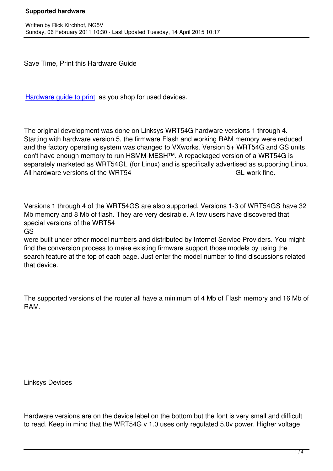Save Time, Print this Hardware Guide

Hardware guide to print as you shop for used devices.

[The original developmen](images/hsmm_docs/WRT54Shop.pdf)t was done on Linksys WRT54G hardware versions 1 through 4. Starting with hardware version 5, the firmware Flash and working RAM memory were reduced and the factory operating system was changed to VXworks. Version 5+ WRT54G and GS units don't have enough memory to run HSMM-MESH™. A repackaged version of a WRT54G is separately marketed as WRT54GL (for Linux) and is specifically advertised as supporting Linux. All hardware versions of the WRT54 GL work fine.

Versions 1 through 4 of the WRT54GS are also supported. Versions 1-3 of WRT54GS have 32 Mb memory and 8 Mb of flash. They are very desirable. A few users have discovered that special versions of the WRT54

GS

were built under other model numbers and distributed by Internet Service Providers. You might find the conversion process to make existing firmware support those models by using the search feature at the top of each page. Just enter the model number to find discussions related that device.

The supported versions of the router all have a minimum of 4 Mb of Flash memory and 16 Mb of RAM.

Linksys Devices

Hardware versions are on the device label on the bottom but the font is very small and difficult to read. Keep in mind that the WRT54G v 1.0 uses only regulated 5.0v power. Higher voltage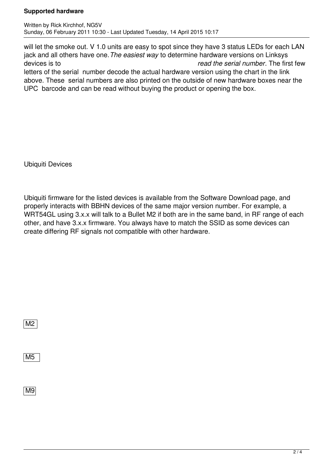## **Supported hardware**

will let the smoke out. V 1.0 units are easy to spot since they have 3 status LEDs for each LAN jack and all others have one.*The easiest way* to determine hardware versions on Linksys devices is to *read the serial number*. The first few letters of the serial number decode the actual hardware version using the chart in the link above. These serial numbers are also printed on the outside of new hardware boxes near the UPC barcode and can be read without buying the product or opening the box.

Ubiquiti Devices

Ubiquiti firmware for the listed devices is available from the Software Download page, and properly interacts with BBHN devices of the same major version number. For example, a WRT54GL using 3.x.x will talk to a Bullet M2 if both are in the same band, in RF range of each other, and have 3.x.x firmware. You always have to match the SSID as some devices can create differing RF signals not compatible with other hardware.

M2

M5

M9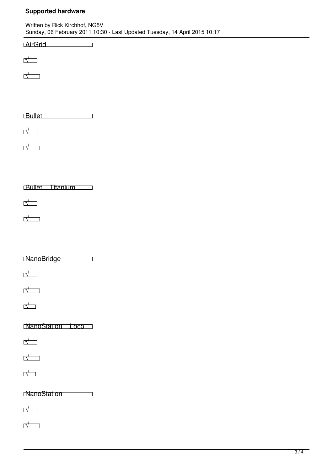## **Supported hardware**

| Written by Rick Kirchhof, NG5V                                             |  |
|----------------------------------------------------------------------------|--|
| Sunday, 06 February 2011 10:30 - Last Updated Tuesday, 14 April 2015 10:17 |  |

**AirGrid** 

√

√

Bullet

√

√

Bullet Titanium

√

√

NanoBridge

√

√

√

NanoStation Loco

√

√

√

NanoStation

√

√